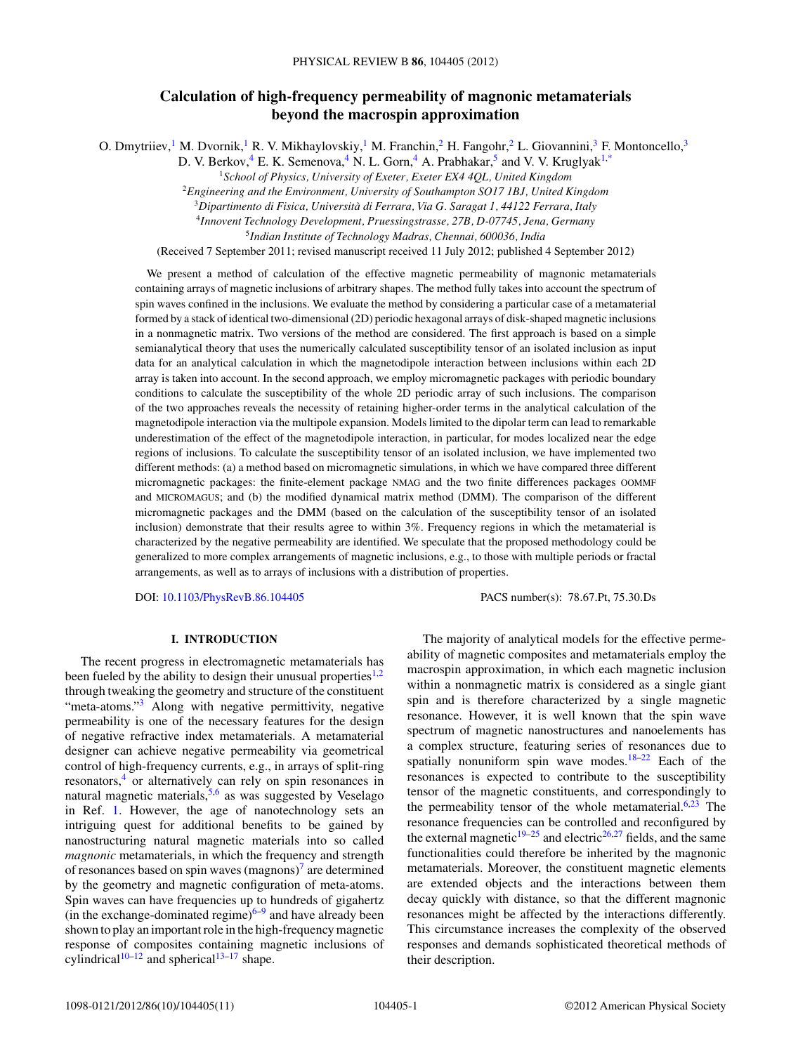# **Calculation of high-frequency permeability of magnonic metamaterials beyond the macrospin approximation**

O. Dmytriiev,<sup>1</sup> M. Dvornik,<sup>1</sup> R. V. Mikhaylovskiy,<sup>1</sup> M. Franchin,<sup>2</sup> H. Fangohr,<sup>2</sup> L. Giovannini,<sup>3</sup> F. Montoncello,<sup>3</sup>

D. V. Berkov, <sup>4</sup> E. K. Semenova, <sup>4</sup> N. L. Gorn, <sup>4</sup> A. Prabhakar,  $\frac{5}{3}$  and V. V. Kruglyak<sup>1[,\\*](#page-9-0)</sup>

<sup>1</sup>*School of Physics, University of Exeter, Exeter EX4 4QL, United Kingdom*

<sup>2</sup>*Engineering and the Environment, University of Southampton SO17 1BJ, United Kingdom*

<sup>3</sup>*Dipartimento di Fisica, Universita di Ferrara, Via G. Saragat 1, 44122 Ferrara, Italy `*

<sup>4</sup>*Innovent Technology Development, Pruessingstrasse, 27B, D-07745, Jena, Germany*

<sup>5</sup>*Indian Institute of Technology Madras, Chennai, 600036, India*

(Received 7 September 2011; revised manuscript received 11 July 2012; published 4 September 2012)

We present a method of calculation of the effective magnetic permeability of magnonic metamaterials containing arrays of magnetic inclusions of arbitrary shapes. The method fully takes into account the spectrum of spin waves confined in the inclusions. We evaluate the method by considering a particular case of a metamaterial formed by a stack of identical two-dimensional (2D) periodic hexagonal arrays of disk-shaped magnetic inclusions in a nonmagnetic matrix. Two versions of the method are considered. The first approach is based on a simple semianalytical theory that uses the numerically calculated susceptibility tensor of an isolated inclusion as input data for an analytical calculation in which the magnetodipole interaction between inclusions within each 2D array is taken into account. In the second approach, we employ micromagnetic packages with periodic boundary conditions to calculate the susceptibility of the whole 2D periodic array of such inclusions. The comparison of the two approaches reveals the necessity of retaining higher-order terms in the analytical calculation of the magnetodipole interaction via the multipole expansion. Models limited to the dipolar term can lead to remarkable underestimation of the effect of the magnetodipole interaction, in particular, for modes localized near the edge regions of inclusions. To calculate the susceptibility tensor of an isolated inclusion, we have implemented two different methods: (a) a method based on micromagnetic simulations, in which we have compared three different micromagnetic packages: the finite-element package NMAG and the two finite differences packages OOMMF and MICROMAGUS; and (b) the modified dynamical matrix method (DMM). The comparison of the different micromagnetic packages and the DMM (based on the calculation of the susceptibility tensor of an isolated inclusion) demonstrate that their results agree to within 3%. Frequency regions in which the metamaterial is characterized by the negative permeability are identified. We speculate that the proposed methodology could be generalized to more complex arrangements of magnetic inclusions, e.g., to those with multiple periods or fractal arrangements, as well as to arrays of inclusions with a distribution of properties.

DOI: [10.1103/PhysRevB.86.104405](http://dx.doi.org/10.1103/PhysRevB.86.104405) PACS number(s): 78*.*67*.*Pt, 75*.*30*.*Ds

# **I. INTRODUCTION**

The recent progress in electromagnetic metamaterials has been fueled by the ability to design their unusual properties $1,2$ through tweaking the geometry and structure of the constituent "meta-atoms."<sup>3</sup> Along with negative permittivity, negative permeability is one of the necessary features for the design of negative refractive index metamaterials. A metamaterial designer can achieve negative permeability via geometrical control of high-frequency currents, e.g., in arrays of split-ring resonators,<sup>4</sup> or alternatively can rely on spin resonances in natural magnetic materials,  $5.6$  as was suggested by Veselago in Ref. [1.](#page-9-0) However, the age of nanotechnology sets an intriguing quest for additional benefits to be gained by nanostructuring natural magnetic materials into so called *magnonic* metamaterials, in which the frequency and strength of resonances based on spin waves  $(magnons)^7$  are determined by the geometry and magnetic configuration of meta-atoms. Spin waves can have frequencies up to hundreds of gigahertz (in the exchange-dominated regime) $6-9$  and have already been shown to play an important role in the high-frequency magnetic response of composites containing magnetic inclusions of cylindrical<sup>[10–12](#page-9-0)</sup> and spherical<sup>[13–17](#page-9-0)</sup> shape.

The majority of analytical models for the effective permeability of magnetic composites and metamaterials employ the macrospin approximation, in which each magnetic inclusion within a nonmagnetic matrix is considered as a single giant spin and is therefore characterized by a single magnetic resonance. However, it is well known that the spin wave spectrum of magnetic nanostructures and nanoelements has a complex structure, featuring series of resonances due to spatially nonuniform spin wave modes. $18-22$  Each of the resonances is expected to contribute to the susceptibility tensor of the magnetic constituents, and correspondingly to the permeability tensor of the whole metamaterial. $6,23$  The resonance frequencies can be controlled and reconfigured by the external magnetic<sup>19–25</sup> and electric<sup>26,27</sup> fields, and the same functionalities could therefore be inherited by the magnonic metamaterials. Moreover, the constituent magnetic elements are extended objects and the interactions between them decay quickly with distance, so that the different magnonic resonances might be affected by the interactions differently. This circumstance increases the complexity of the observed responses and demands sophisticated theoretical methods of their description.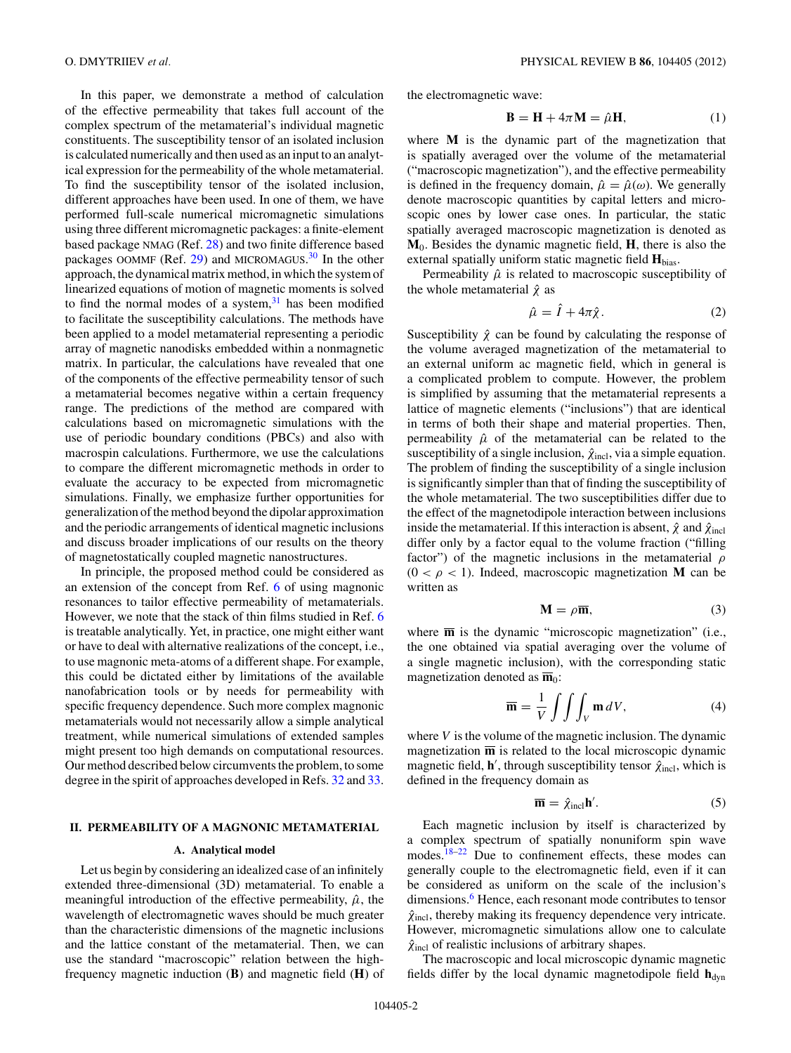<span id="page-1-0"></span>In this paper, we demonstrate a method of calculation of the effective permeability that takes full account of the complex spectrum of the metamaterial's individual magnetic constituents. The susceptibility tensor of an isolated inclusion is calculated numerically and then used as an input to an analytical expression for the permeability of the whole metamaterial. To find the susceptibility tensor of the isolated inclusion, different approaches have been used. In one of them, we have performed full-scale numerical micromagnetic simulations using three different micromagnetic packages: a finite-element based package NMAG (Ref. [28\)](#page-9-0) and two finite difference based packages OOMMF (Ref. [29\)](#page-9-0) and MICROMAGUS.<sup>[30](#page-9-0)</sup> In the other approach, the dynamical matrix method, in which the system of linearized equations of motion of magnetic moments is solved to find the normal modes of a system, $31$  has been modified to facilitate the susceptibility calculations. The methods have been applied to a model metamaterial representing a periodic array of magnetic nanodisks embedded within a nonmagnetic matrix. In particular, the calculations have revealed that one of the components of the effective permeability tensor of such a metamaterial becomes negative within a certain frequency range. The predictions of the method are compared with calculations based on micromagnetic simulations with the use of periodic boundary conditions (PBCs) and also with macrospin calculations. Furthermore, we use the calculations to compare the different micromagnetic methods in order to evaluate the accuracy to be expected from micromagnetic simulations. Finally, we emphasize further opportunities for generalization of the method beyond the dipolar approximation and the periodic arrangements of identical magnetic inclusions and discuss broader implications of our results on the theory of magnetostatically coupled magnetic nanostructures.

In principle, the proposed method could be considered as an extension of the concept from Ref. [6](#page-9-0) of using magnonic resonances to tailor effective permeability of metamaterials. However, we note that the stack of thin films studied in Ref. [6](#page-9-0) is treatable analytically. Yet, in practice, one might either want or have to deal with alternative realizations of the concept, i.e., to use magnonic meta-atoms of a different shape. For example, this could be dictated either by limitations of the available nanofabrication tools or by needs for permeability with specific frequency dependence. Such more complex magnonic metamaterials would not necessarily allow a simple analytical treatment, while numerical simulations of extended samples might present too high demands on computational resources. Our method described below circumvents the problem, to some degree in the spirit of approaches developed in Refs. [32](#page-9-0) and [33.](#page-9-0)

# **II. PERMEABILITY OF A MAGNONIC METAMATERIAL**

## **A. Analytical model**

Let us begin by considering an idealized case of an infinitely extended three-dimensional (3D) metamaterial. To enable a meaningful introduction of the effective permeability,  $\hat{\mu}$ , the wavelength of electromagnetic waves should be much greater than the characteristic dimensions of the magnetic inclusions and the lattice constant of the metamaterial. Then, we can use the standard "macroscopic" relation between the highfrequency magnetic induction (**B**) and magnetic field (**H**) of the electromagnetic wave:

$$
\mathbf{B} = \mathbf{H} + 4\pi \mathbf{M} = \hat{\mu} \mathbf{H},\tag{1}
$$

where **M** is the dynamic part of the magnetization that is spatially averaged over the volume of the metamaterial ("macroscopic magnetization"), and the effective permeability is defined in the frequency domain,  $\hat{\mu} = \hat{\mu}(\omega)$ . We generally denote macroscopic quantities by capital letters and microscopic ones by lower case ones. In particular, the static spatially averaged macroscopic magnetization is denoted as **M**0. Besides the dynamic magnetic field, **H**, there is also the external spatially uniform static magnetic field **H**bias.

Permeability  $\hat{\mu}$  is related to macroscopic susceptibility of the whole metamaterial  $\hat{\chi}$  as

$$
\hat{\mu} = \hat{I} + 4\pi \hat{\chi}.
$$
\n(2)

Susceptibility  $\hat{\chi}$  can be found by calculating the response of the volume averaged magnetization of the metamaterial to an external uniform ac magnetic field, which in general is a complicated problem to compute. However, the problem is simplified by assuming that the metamaterial represents a lattice of magnetic elements ("inclusions") that are identical in terms of both their shape and material properties. Then, permeability  $\hat{\mu}$  of the metamaterial can be related to the susceptibility of a single inclusion,  $\hat{\chi}_{\text{incl}}$ , via a simple equation. The problem of finding the susceptibility of a single inclusion is significantly simpler than that of finding the susceptibility of the whole metamaterial. The two susceptibilities differ due to the effect of the magnetodipole interaction between inclusions inside the metamaterial. If this interaction is absent,  $\hat{\chi}$  and  $\hat{\chi}$ <sub>incl</sub> differ only by a factor equal to the volume fraction ("filling factor") of the magnetic inclusions in the metamaterial *ρ*  $(0 < \rho < 1)$ . Indeed, macroscopic magnetization **M** can be written as

$$
\mathbf{M} = \rho \overline{\mathbf{m}},\tag{3}
$$

where  $\overline{m}$  is the dynamic "microscopic magnetization" (i.e., the one obtained via spatial averaging over the volume of a single magnetic inclusion), with the corresponding static magnetization denoted as  $\overline{\mathbf{m}}_0$ :

$$
\overline{\mathbf{m}} = \frac{1}{V} \int \int \int_{V} \mathbf{m} \, dV, \tag{4}
$$

where *V* is the volume of the magnetic inclusion. The dynamic magnetization  $\overline{m}$  is related to the local microscopic dynamic magnetic field, **h**<sup>'</sup>, through susceptibility tensor  $\hat{\chi}$ <sub>incl</sub>, which is defined in the frequency domain as

$$
\overline{\mathbf{m}} = \hat{\chi}_{\text{incl}} \mathbf{h}'. \tag{5}
$$

Each magnetic inclusion by itself is characterized by a complex spectrum of spatially nonuniform spin wave modes.<sup>[18–22](#page-9-0)</sup> Due to confinement effects, these modes can generally couple to the electromagnetic field, even if it can be considered as uniform on the scale of the inclusion's dimensions.<sup>[6](#page-9-0)</sup> Hence, each resonant mode contributes to tensor  $\hat{\chi}_{\text{incl}}$ , thereby making its frequency dependence very intricate. However, micromagnetic simulations allow one to calculate  $\hat{\chi}_{\text{incl}}$  of realistic inclusions of arbitrary shapes.

The macroscopic and local microscopic dynamic magnetic fields differ by the local dynamic magnetodipole field  $h_{dyn}$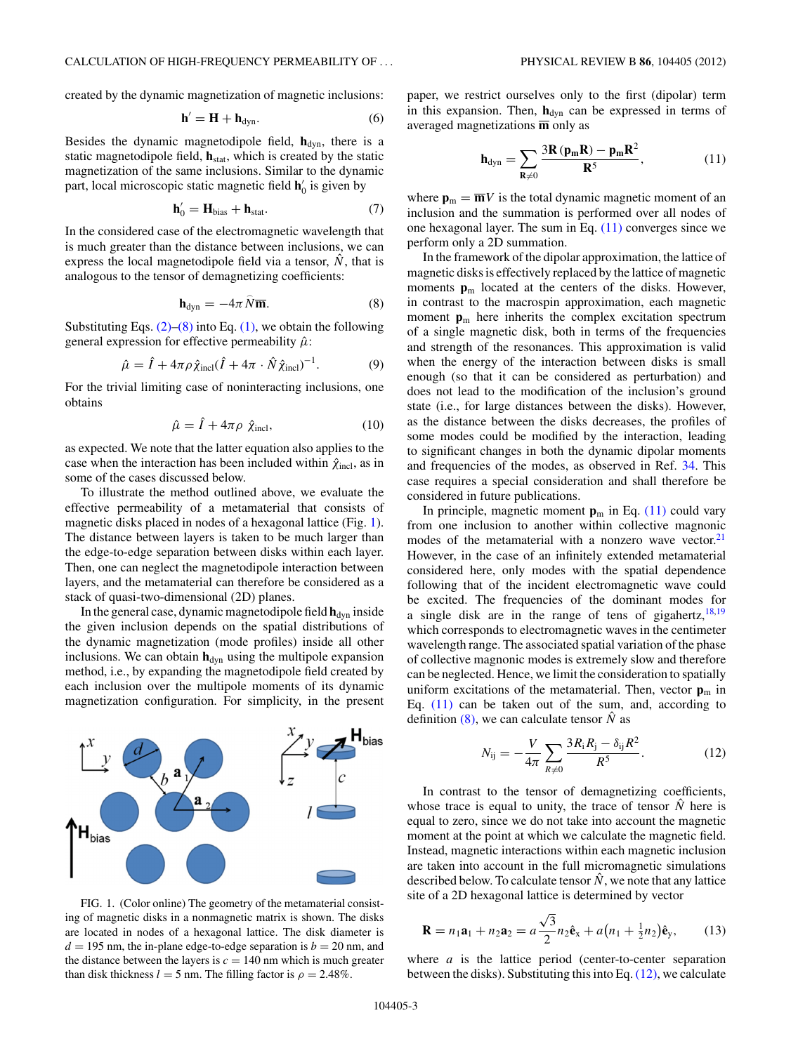<span id="page-2-0"></span>created by the dynamic magnetization of magnetic inclusions:

$$
\mathbf{h}' = \mathbf{H} + \mathbf{h}_{\text{dyn}}.\tag{6}
$$

Besides the dynamic magnetodipole field,  $h_{dyn}$ , there is a static magnetodipole field,  $h_{stat}$ , which is created by the static magnetization of the same inclusions. Similar to the dynamic part, local microscopic static magnetic field  $h'_0$  is given by

$$
\mathbf{h}'_0 = \mathbf{H}_{bias} + \mathbf{h}_{stat}.\tag{7}
$$

In the considered case of the electromagnetic wavelength that is much greater than the distance between inclusions, we can express the local magnetodipole field via a tensor,  $\hat{N}$ , that is analogous to the tensor of demagnetizing coefficients:

$$
\mathbf{h}_{\text{dyn}} = -4\pi \,\hat{N}\overline{\mathbf{m}}.\tag{8}
$$

Substituting Eqs.  $(2)$ – $(8)$  into Eq.  $(1)$ , we obtain the following general expression for effective permeability  $\hat{\mu}$ :

$$
\hat{\mu} = \hat{I} + 4\pi \rho \hat{\chi}_{\text{incl}} (\hat{I} + 4\pi \cdot \hat{N} \hat{\chi}_{\text{incl}})^{-1}.
$$
 (9)

For the trivial limiting case of noninteracting inclusions, one obtains

$$
\hat{\mu} = \hat{I} + 4\pi\rho \hat{\chi}_{\text{incl}},\tag{10}
$$

as expected. We note that the latter equation also applies to the case when the interaction has been included within  $\hat{\chi}_{\text{incl}}$ , as in some of the cases discussed below.

To illustrate the method outlined above, we evaluate the effective permeability of a metamaterial that consists of magnetic disks placed in nodes of a hexagonal lattice (Fig. 1). The distance between layers is taken to be much larger than the edge-to-edge separation between disks within each layer. Then, one can neglect the magnetodipole interaction between layers, and the metamaterial can therefore be considered as a stack of quasi-two-dimensional (2D) planes.

In the general case, dynamic magnetodipole field  $h_{\text{dyn}}$  inside the given inclusion depends on the spatial distributions of the dynamic magnetization (mode profiles) inside all other inclusions. We can obtain  $h_{dyn}$  using the multipole expansion method, i.e., by expanding the magnetodipole field created by each inclusion over the multipole moments of its dynamic magnetization configuration. For simplicity, in the present



FIG. 1. (Color online) The geometry of the metamaterial consisting of magnetic disks in a nonmagnetic matrix is shown. The disks are located in nodes of a hexagonal lattice. The disk diameter is  $d = 195$  nm, the in-plane edge-to-edge separation is  $b = 20$  nm, and the distance between the layers is  $c = 140$  nm which is much greater than disk thickness  $l = 5$  nm. The filling factor is  $\rho = 2.48\%$ .

paper, we restrict ourselves only to the first (dipolar) term in this expansion. Then,  $h_{dyn}$  can be expressed in terms of averaged magnetizations **m** only as

$$
\mathbf{h}_{\text{dyn}} = \sum_{\mathbf{R} \neq 0} \frac{3\mathbf{R}\left(\mathbf{p}_{\mathbf{m}}\mathbf{R}\right) - \mathbf{p}_{\mathbf{m}}\mathbf{R}^2}{\mathbf{R}^5},\tag{11}
$$

where  $\mathbf{p}_m = \overline{\mathbf{m}}V$  is the total dynamic magnetic moment of an inclusion and the summation is performed over all nodes of one hexagonal layer. The sum in Eq.  $(11)$  converges since we perform only a 2D summation.

In the framework of the dipolar approximation, the lattice of magnetic disks is effectively replaced by the lattice of magnetic moments  $p_m$  located at the centers of the disks. However, in contrast to the macrospin approximation, each magnetic moment  $\mathbf{p}_m$  here inherits the complex excitation spectrum of a single magnetic disk, both in terms of the frequencies and strength of the resonances. This approximation is valid when the energy of the interaction between disks is small enough (so that it can be considered as perturbation) and does not lead to the modification of the inclusion's ground state (i.e., for large distances between the disks). However, as the distance between the disks decreases, the profiles of some modes could be modified by the interaction, leading to significant changes in both the dynamic dipolar moments and frequencies of the modes, as observed in Ref. [34.](#page-9-0) This case requires a special consideration and shall therefore be considered in future publications.

In principle, magnetic moment  $\mathbf{p}_m$  in Eq. (11) could vary from one inclusion to another within collective magnonic modes of the metamaterial with a nonzero wave vector.<sup>[21](#page-9-0)</sup> However, in the case of an infinitely extended metamaterial considered here, only modes with the spatial dependence following that of the incident electromagnetic wave could be excited. The frequencies of the dominant modes for a single disk are in the range of tens of gigahertz,  $18,19$ which corresponds to electromagnetic waves in the centimeter wavelength range. The associated spatial variation of the phase of collective magnonic modes is extremely slow and therefore can be neglected. Hence, we limit the consideration to spatially uniform excitations of the metamaterial. Then, vector  $\mathbf{p}_m$  in Eq. (11) can be taken out of the sum, and, according to definition  $(8)$ , we can calculate tensor  $\hat{N}$  as

$$
N_{ij} = -\frac{V}{4\pi} \sum_{R \neq 0} \frac{3R_i R_j - \delta_{ij} R^2}{R^5}.
$$
 (12)

In contrast to the tensor of demagnetizing coefficients, whose trace is equal to unity, the trace of tensor  $\hat{N}$  here is equal to zero, since we do not take into account the magnetic moment at the point at which we calculate the magnetic field. Instead, magnetic interactions within each magnetic inclusion are taken into account in the full micromagnetic simulations described below. To calculate tensor  $\hat{N}$ , we note that any lattice site of a 2D hexagonal lattice is determined by vector

$$
\mathbf{R} = n_1 \mathbf{a}_1 + n_2 \mathbf{a}_2 = a \frac{\sqrt{3}}{2} n_2 \hat{\mathbf{e}}_x + a \big( n_1 + \frac{1}{2} n_2 \big) \hat{\mathbf{e}}_y, \qquad (13)
$$

where *a* is the lattice period (center-to-center separation between the disks). Substituting this into Eq.  $(12)$ , we calculate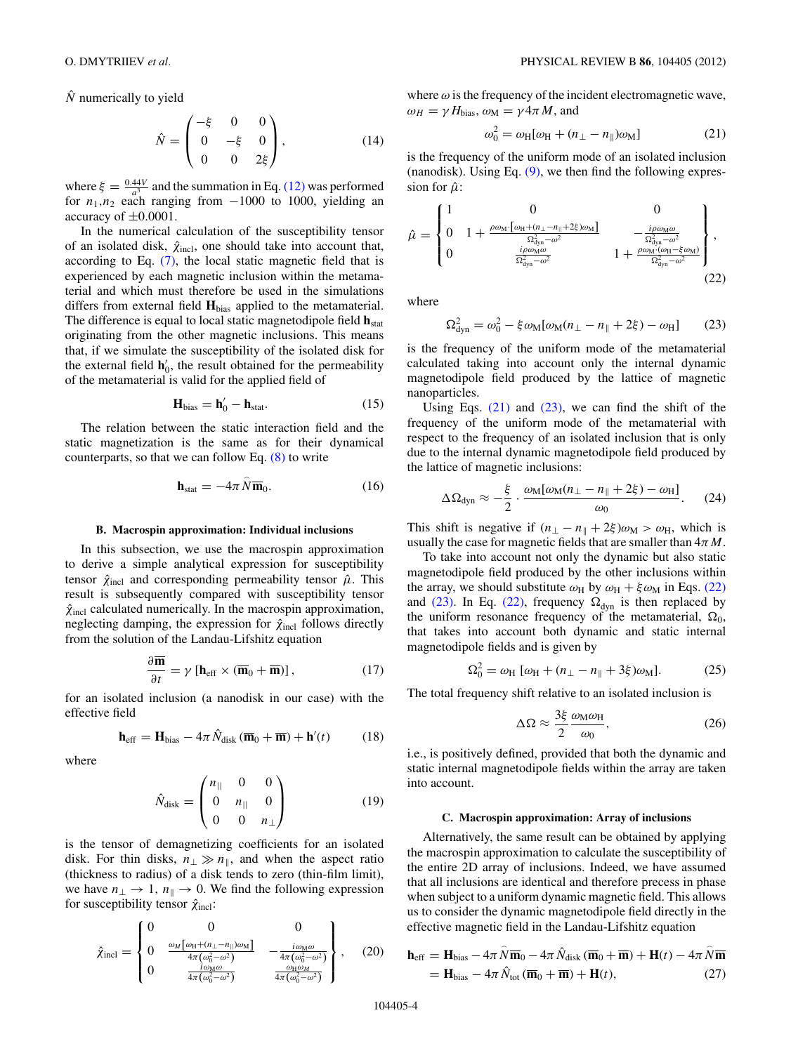<span id="page-3-0"></span> $\hat{N}$  numerically to yield

$$
\hat{N} = \begin{pmatrix} -\xi & 0 & 0 \\ 0 & -\xi & 0 \\ 0 & 0 & 2\xi \end{pmatrix},
$$
(14)

where  $\xi = \frac{0.44V}{a^3}$  and the summation in Eq. [\(12\)](#page-2-0) was performed for  $n_1, n_2$  each ranging from  $-1000$  to 1000, yielding an accuracy of  $\pm 0.0001$ .

In the numerical calculation of the susceptibility tensor of an isolated disk,  $\hat{\chi}_{\text{incl}}$ , one should take into account that, according to Eq. [\(7\),](#page-2-0) the local static magnetic field that is experienced by each magnetic inclusion within the metamaterial and which must therefore be used in the simulations differs from external field **H**bias applied to the metamaterial. The difference is equal to local static magnetodipole field **h**<sub>stat</sub> originating from the other magnetic inclusions. This means that, if we simulate the susceptibility of the isolated disk for the external field  $h'_0$ , the result obtained for the permeability of the metamaterial is valid for the applied field of

$$
\mathbf{H}_{bias} = \mathbf{h}'_0 - \mathbf{h}_{stat}.
$$
 (15)

The relation between the static interaction field and the static magnetization is the same as for their dynamical counterparts, so that we can follow Eq.  $(8)$  to write

$$
\mathbf{h}_{\text{stat}} = -4\pi \,\hat{N}\overline{\mathbf{m}}_0. \tag{16}
$$

### **B. Macrospin approximation: Individual inclusions**

In this subsection, we use the macrospin approximation to derive a simple analytical expression for susceptibility tensor  $\hat{\chi}_{\text{incl}}$  and corresponding permeability tensor  $\hat{\mu}$ . This result is subsequently compared with susceptibility tensor  $\hat{\chi}_{\text{incl}}$  calculated numerically. In the macrospin approximation, neglecting damping, the expression for  $\hat{\chi}_{\text{incl}}$  follows directly from the solution of the Landau-Lifshitz equation

$$
\frac{\partial \overline{\mathbf{m}}}{\partial t} = \gamma \left[ \mathbf{h}_{\text{eff}} \times (\overline{\mathbf{m}}_0 + \overline{\mathbf{m}}) \right],\tag{17}
$$

for an isolated inclusion (a nanodisk in our case) with the effective field

$$
\mathbf{h}_{\rm eff} = \mathbf{H}_{\rm bias} - 4\pi \hat{N}_{\rm disk} (\overline{\mathbf{m}}_0 + \overline{\mathbf{m}}) + \mathbf{h}'(t) \tag{18}
$$

where

$$
\hat{N}_{\text{disk}} = \begin{pmatrix} n_{||} & 0 & 0 \\ 0 & n_{||} & 0 \\ 0 & 0 & n_{\perp} \end{pmatrix}
$$
 (19)

is the tensor of demagnetizing coefficients for an isolated disk. For thin disks,  $n_{\perp} \gg n_{\parallel}$ , and when the aspect ratio (thickness to radius) of a disk tends to zero (thin-film limit), we have  $n_{\perp} \rightarrow 1$ ,  $n_{\parallel} \rightarrow 0$ . We find the following expression for susceptibility tensor  $\hat{\chi}_{\text{incl}}$ :

$$
\hat{\chi}_{\text{incl}} = \begin{Bmatrix} 0 & 0 & 0 & 0 \\ 0 & \frac{\omega_M \left[\omega_H + (n_L - n_{||})\omega_M\right]}{4\pi \left(\omega_0^2 - \omega^2\right)} & -\frac{i\omega_M\omega}{4\pi \left(\omega_0^2 - \omega^2\right)} \\ 0 & \frac{i\omega_M\omega}{4\pi \left(\omega_0^2 - \omega^2\right)} & \frac{\omega_H\omega_M}{4\pi \left(\omega_0^2 - \omega^2\right)} \end{Bmatrix}, \quad (20)
$$

where  $\omega$  is the frequency of the incident electromagnetic wave,  $\omega_H = \gamma H_{\text{bias}}$ ,  $\omega_M = \gamma 4 \pi M$ , and

$$
\omega_0^2 = \omega_H[\omega_H + (n_\perp - n_\parallel)\omega_M] \tag{21}
$$

is the frequency of the uniform mode of an isolated inclusion (nanodisk). Using Eq.  $(9)$ , we then find the following expression for  $\hat{\mu}$ :

$$
\hat{\mu} = \begin{Bmatrix} 1 & 0 & 0 \\ 0 & 1 + \frac{\rho \omega_M \cdot [\omega_H + (n_{\perp} - n_{\parallel} + 2\xi)\omega_M]}{\Omega_{\text{dyn}}^2 - \omega^2} & -\frac{i\rho \omega_M \omega}{\Omega_{\text{dyn}}^2 - \omega^2} \\ 0 & \frac{i\rho \omega_M \omega}{\Omega_{\text{dyn}}^2 - \omega^2} & 1 + \frac{\rho \omega_M \cdot (\omega_H - \xi \omega_M)}{\Omega_{\text{dyn}}^2 - \omega^2} \end{Bmatrix},
$$
\n(22)

where

$$
\Omega_{\text{dyn}}^2 = \omega_0^2 - \xi \omega_{\text{M}} [\omega_{\text{M}} (n_{\perp} - n_{\parallel} + 2\xi) - \omega_{\text{H}}] \tag{23}
$$

is the frequency of the uniform mode of the metamaterial calculated taking into account only the internal dynamic magnetodipole field produced by the lattice of magnetic nanoparticles.

Using Eqs.  $(21)$  and  $(23)$ , we can find the shift of the frequency of the uniform mode of the metamaterial with respect to the frequency of an isolated inclusion that is only due to the internal dynamic magnetodipole field produced by the lattice of magnetic inclusions:

$$
\Delta\Omega_{\rm dyn} \approx -\frac{\xi}{2} \cdot \frac{\omega_{\rm M}[\omega_{\rm M}(n_{\perp} - n_{\parallel} + 2\xi) - \omega_{\rm H}]}{\omega_0}.
$$
 (24)

This shift is negative if  $(n_{\perp} - n_{\parallel} + 2\xi)\omega_M > \omega_H$ , which is usually the case for magnetic fields that are smaller than 4*πM*.

To take into account not only the dynamic but also static magnetodipole field produced by the other inclusions within the array, we should substitute  $\omega_H$  by  $\omega_H + \xi \omega_M$  in Eqs. (22) and (23). In Eq. (22), frequency  $\Omega_{dyn}$  is then replaced by the uniform resonance frequency of the metamaterial,  $\Omega_0$ , that takes into account both dynamic and static internal magnetodipole fields and is given by

$$
\Omega_0^2 = \omega_H [\omega_H + (n_\perp - n_\parallel + 3\xi)\omega_M].
$$
 (25)

The total frequency shift relative to an isolated inclusion is

$$
\Delta\Omega \approx \frac{3\xi}{2} \frac{\omega_{\rm M}\omega_{\rm H}}{\omega_0},\tag{26}
$$

i.e., is positively defined, provided that both the dynamic and static internal magnetodipole fields within the array are taken into account.

#### **C. Macrospin approximation: Array of inclusions**

Alternatively, the same result can be obtained by applying the macrospin approximation to calculate the susceptibility of the entire 2D array of inclusions. Indeed, we have assumed that all inclusions are identical and therefore precess in phase when subject to a uniform dynamic magnetic field. This allows us to consider the dynamic magnetodipole field directly in the effective magnetic field in the Landau-Lifshitz equation

$$
\mathbf{h}_{\text{eff}} = \mathbf{H}_{\text{bias}} - 4\pi \hat{N} \overline{\mathbf{m}}_0 - 4\pi \hat{N}_{\text{disk}} (\overline{\mathbf{m}}_0 + \overline{\mathbf{m}}) + \mathbf{H}(t) - 4\pi \hat{N} \overline{\mathbf{m}}
$$
  
=  $\mathbf{H}_{\text{bias}} - 4\pi \hat{N}_{\text{tot}} (\overline{\mathbf{m}}_0 + \overline{\mathbf{m}}) + \mathbf{H}(t),$  (27)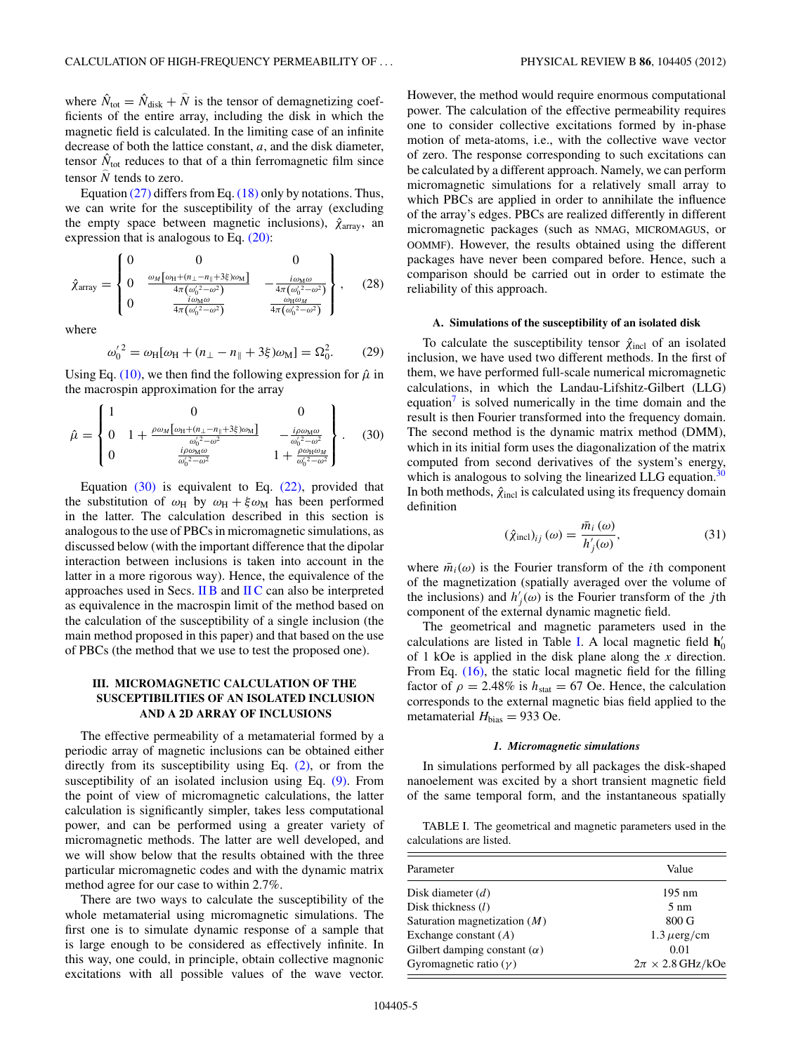<span id="page-4-0"></span>where  $\hat{N}_{\text{tot}} = \hat{N}_{\text{disk}} + \hat{N}$  is the tensor of demagnetizing coefficients of the entire array, including the disk in which the magnetic field is calculated. In the limiting case of an infinite decrease of both the lattice constant, *a*, and the disk diameter, tensor  $\hat{N}_{\text{tot}}$  reduces to that of a thin ferromagnetic film since tensor  $\hat{N}$  tends to zero.

Equation  $(27)$  differs from Eq.  $(18)$  only by notations. Thus, we can write for the susceptibility of the array (excluding the empty space between magnetic inclusions),  $\hat{\chi}_{\text{array}}$ , an expression that is analogous to Eq. [\(20\):](#page-3-0)

$$
\hat{\chi}_{\text{array}} = \begin{Bmatrix} 0 & 0 & 0 & 0 \\ 0 & \frac{\omega_M \left[\omega_H + (n_{\perp} - n_{\parallel} + 3\xi)\omega_M\right]}{4\pi \left(\omega_0'^2 - \omega^2\right)} & -\frac{i\omega_M\omega}{4\pi \left(\omega_0'^2 - \omega^2\right)} \\ 0 & \frac{i\omega_M\omega}{4\pi \left(\omega_0'^2 - \omega^2\right)} & \frac{\omega_H\omega_M}{4\pi \left(\omega_0'^2 - \omega^2\right)} \end{Bmatrix}, \quad (28)
$$

where

$$
{\omega'_0}^2 = \omega_H[\omega_H + (n_\perp - n_\parallel + 3\xi)\omega_M] = \Omega_0^2. \tag{29}
$$

Using Eq. [\(10\),](#page-2-0) we then find the following expression for  $\hat{\mu}$  in the macrospin approximation for the array

$$
\hat{\mu} = \begin{Bmatrix} 1 & 0 & 0 \\ 0 & 1 + \frac{\rho \omega_M \left[\omega_H + (n_1 - n_1 + 3\xi)\omega_M\right]}{\omega_0^{\prime 2} - \omega^2} & -\frac{i\rho \omega_M \omega}{\omega_0^{\prime 2} - \omega^2} \\ 0 & \frac{i\rho \omega_M \omega}{\omega_0^{\prime 2} - \omega^2} & 1 + \frac{\rho \omega_H \omega_M}{\omega_0^{\prime 2} - \omega^2} \end{Bmatrix} . \quad (30)
$$

Equation  $(30)$  is equivalent to Eq.  $(22)$ , provided that the substitution of  $\omega_H$  by  $\omega_H + \xi \omega_M$  has been performed in the latter. The calculation described in this section is analogous to the use of PBCs in micromagnetic simulations, as discussed below (with the important difference that the dipolar interaction between inclusions is taken into account in the latter in a more rigorous way). Hence, the equivalence of the approaches used in Secs. [II B](#page-3-0) and [II C](#page-3-0) can also be interpreted as equivalence in the macrospin limit of the method based on the calculation of the susceptibility of a single inclusion (the main method proposed in this paper) and that based on the use of PBCs (the method that we use to test the proposed one).

# **III. MICROMAGNETIC CALCULATION OF THE SUSCEPTIBILITIES OF AN ISOLATED INCLUSION AND A 2D ARRAY OF INCLUSIONS**

The effective permeability of a metamaterial formed by a periodic array of magnetic inclusions can be obtained either directly from its susceptibility using Eq. [\(2\),](#page-1-0) or from the susceptibility of an isolated inclusion using Eq. [\(9\).](#page-2-0) From the point of view of micromagnetic calculations, the latter calculation is significantly simpler, takes less computational power, and can be performed using a greater variety of micromagnetic methods. The latter are well developed, and we will show below that the results obtained with the three particular micromagnetic codes and with the dynamic matrix method agree for our case to within 2.7%.

There are two ways to calculate the susceptibility of the whole metamaterial using micromagnetic simulations. The first one is to simulate dynamic response of a sample that is large enough to be considered as effectively infinite. In this way, one could, in principle, obtain collective magnonic excitations with all possible values of the wave vector.

However, the method would require enormous computational power. The calculation of the effective permeability requires one to consider collective excitations formed by in-phase motion of meta-atoms, i.e., with the collective wave vector of zero. The response corresponding to such excitations can be calculated by a different approach. Namely, we can perform micromagnetic simulations for a relatively small array to which PBCs are applied in order to annihilate the influence of the array's edges. PBCs are realized differently in different micromagnetic packages (such as NMAG, MICROMAGUS, or OOMMF). However, the results obtained using the different packages have never been compared before. Hence, such a comparison should be carried out in order to estimate the reliability of this approach.

# **A. Simulations of the susceptibility of an isolated disk**

To calculate the susceptibility tensor  $\hat{\chi}_{\text{incl}}$  of an isolated inclusion, we have used two different methods. In the first of them, we have performed full-scale numerical micromagnetic calculations, in which the Landau-Lifshitz-Gilbert (LLG) equation<sup> $\frac{7}{1}$ </sup> is solved numerically in the time domain and the result is then Fourier transformed into the frequency domain. The second method is the dynamic matrix method (DMM), which in its initial form uses the diagonalization of the matrix computed from second derivatives of the system's energy, which is analogous to solving the linearized LLG equation.<sup>30</sup> In both methods,  $\hat{\chi}_{\text{incl}}$  is calculated using its frequency domain definition

$$
(\hat{\chi}_{\text{incl}})_{ij}(\omega) = \frac{\bar{m}_i(\omega)}{h'_j(\omega)},
$$
\n(31)

where  $\bar{m}_i(\omega)$  is the Fourier transform of the *i*th component of the magnetization (spatially averaged over the volume of the inclusions) and  $h'_{j}(\omega)$  is the Fourier transform of the *j*th component of the external dynamic magnetic field.

The geometrical and magnetic parameters used in the calculations are listed in Table I. A local magnetic field  $h'_0$ of 1 kOe is applied in the disk plane along the *x* direction. From Eq. [\(16\),](#page-3-0) the static local magnetic field for the filling factor of  $\rho = 2.48\%$  is  $h_{\text{stat}} = 67$  Oe. Hence, the calculation corresponds to the external magnetic bias field applied to the metamaterial  $H_{bias} = 933$  Oe.

#### *1. Micromagnetic simulations*

In simulations performed by all packages the disk-shaped nanoelement was excited by a short transient magnetic field of the same temporal form, and the instantaneous spatially

TABLE I. The geometrical and magnetic parameters used in the calculations are listed.

| Parameter                           | Value                     |
|-------------------------------------|---------------------------|
| Disk diameter $(d)$                 | $195 \text{ nm}$          |
| Disk thickness $(l)$                | $5 \text{ nm}$            |
| Saturation magnetization $(M)$      | 800 G                     |
| Exchange constant $(A)$             | $1.3 \mu$ erg/cm          |
| Gilbert damping constant $(\alpha)$ | 0.01                      |
| Gyromagnetic ratio $(\gamma)$       | $2\pi \times 2.8$ GHz/kOe |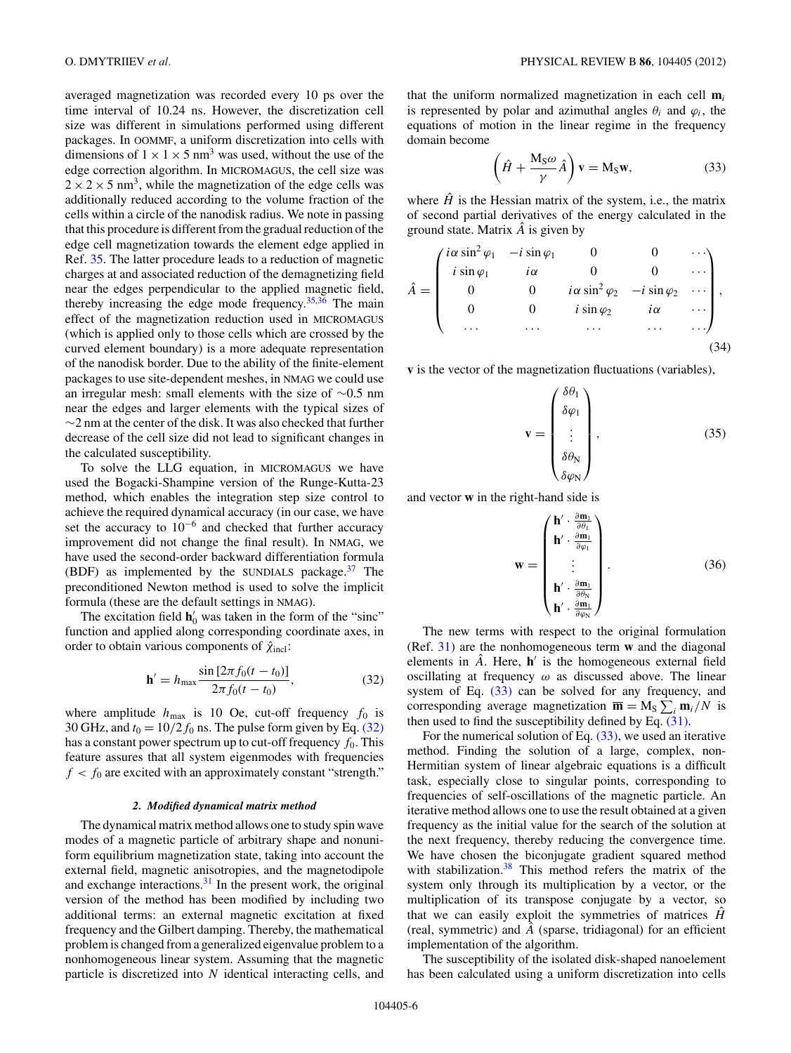averaged magnetization was recorded every 10 ps over the time interval of 10.24 ns. However, the discretization cell size was different in simulations performed using different packages. In OOMMF, a uniform discretization into cells with dimensions of  $1 \times 1 \times 5$  nm<sup>3</sup> was used, without the use of the edge correction algorithm. In MICROMAGUS, the cell size was  $2 \times 2 \times 5$  nm<sup>3</sup>, while the magnetization of the edge cells was additionally reduced according to the volume fraction of the cells within a circle of the nanodisk radius. We note in passing that this procedure is different from the gradual reduction of the edge cell magnetization towards the element edge applied in Ref. [35.](#page-9-0) The latter procedure leads to a reduction of magnetic charges at and associated reduction of the demagnetizing field near the edges perpendicular to the applied magnetic field, thereby increasing the edge mode frequency.<sup>35,36</sup> The main effect of the magnetization reduction used in MICROMAGUS (which is applied only to those cells which are crossed by the curved element boundary) is a more adequate representation of the nanodisk border. Due to the ability of the finite-element packages to use site-dependent meshes, in NMAG we could use an irregular mesh: small elements with the size of ∼0.5 nm near the edges and larger elements with the typical sizes of ∼2 nm at the center of the disk. It was also checked that further decrease of the cell size did not lead to significant changes in the calculated susceptibility.

To solve the LLG equation, in MICROMAGUS we have used the Bogacki-Shampine version of the Runge-Kutta-23 method, which enables the integration step size control to achieve the required dynamical accuracy (in our case, we have set the accuracy to 10−<sup>6</sup> and checked that further accuracy improvement did not change the final result). In NMAG, we have used the second-order backward differentiation formula (BDF) as implemented by the SUNDIALS package. $37$  The preconditioned Newton method is used to solve the implicit formula (these are the default settings in NMAG).

The excitation field  $h'_0$  was taken in the form of the "sinc" function and applied along corresponding coordinate axes, in order to obtain various components of  $\hat{\chi}_{\text{incl}}$ :

$$
\mathbf{h}' = h_{\text{max}} \frac{\sin \left[ 2\pi f_0(t - t_0) \right]}{2\pi f_0(t - t_0)},
$$
\n(32)

where amplitude  $h_{\text{max}}$  is 10 Oe, cut-off frequency  $f_0$  is 30 GHz, and  $t_0 = 10/2 f_0$  ns. The pulse form given by Eq. (32) has a constant power spectrum up to cut-off frequency  $f_0$ . This feature assures that all system eigenmodes with frequencies  $f < f_0$  are excited with an approximately constant "strength."

## *2. Modified dynamical matrix method*

The dynamical matrix method allows one to study spin wave modes of a magnetic particle of arbitrary shape and nonuniform equilibrium magnetization state, taking into account the external field, magnetic anisotropies, and the magnetodipole and exchange interactions.<sup>31</sup> In the present work, the original version of the method has been modified by including two additional terms: an external magnetic excitation at fixed frequency and the Gilbert damping. Thereby, the mathematical problem is changed from a generalized eigenvalue problem to a nonhomogeneous linear system. Assuming that the magnetic particle is discretized into *N* identical interacting cells, and that the uniform normalized magnetization in each cell **m***<sup>i</sup>* is represented by polar and azimuthal angles  $\theta_i$  and  $\varphi_i$ , the equations of motion in the linear regime in the frequency domain become

$$
\left(\hat{H} + \frac{M_S \omega}{\gamma} \hat{A}\right) \mathbf{v} = M_S \mathbf{w},\tag{33}
$$

where  $\hat{H}$  is the Hessian matrix of the system, i.e., the matrix of second partial derivatives of the energy calculated in the ground state. Matrix  $\hat{A}$  is given by

$$
\hat{A} = \begin{pmatrix}\ni\alpha\sin^2\varphi_1 & -i\sin\varphi_1 & 0 & 0 & \cdots \\
i\sin\varphi_1 & i\alpha & 0 & 0 & \cdots \\
0 & 0 & i\alpha\sin^2\varphi_2 & -i\sin\varphi_2 & \cdots \\
0 & 0 & i\sin\varphi_2 & i\alpha & \cdots \\
\cdots & \cdots & \cdots & \cdots & \cdots\n\end{pmatrix},
$$
\n(34)

**v** is the vector of the magnetization fluctuations (variables),

$$
\mathbf{v} = \begin{pmatrix} \delta \theta_1 \\ \delta \varphi_1 \\ \vdots \\ \delta \theta_N \\ \delta \varphi_N \end{pmatrix}, \tag{35}
$$

and vector **w** in the right-hand side is

$$
\mathbf{w} = \begin{pmatrix} \mathbf{h}' \cdot \frac{\partial \mathbf{m}_1}{\partial \theta_1} \\ \mathbf{h}' \cdot \frac{\partial \mathbf{m}_1}{\partial \varphi_1} \\ \vdots \\ \mathbf{h}' \cdot \frac{\partial \mathbf{m}_1}{\partial \theta_N} \\ \mathbf{h}' \cdot \frac{\partial \mathbf{m}_1}{\partial \varphi_N} \end{pmatrix} .
$$
 (36)

The new terms with respect to the original formulation (Ref. [31\)](#page-9-0) are the nonhomogeneous term **w** and the diagonal elements in  $\hat{A}$ . Here,  $h'$  is the homogeneous external field oscillating at frequency *ω* as discussed above. The linear system of Eq.  $(33)$  can be solved for any frequency, and corresponding average magnetization  $\overline{\mathbf{m}} = \mathbf{M}_\text{S} \sum_i \mathbf{m}_i / N$  is then used to find the susceptibility defined by Eq. [\(31\).](#page-4-0)

For the numerical solution of Eq.  $(33)$ , we used an iterative method. Finding the solution of a large, complex, non-Hermitian system of linear algebraic equations is a difficult task, especially close to singular points, corresponding to frequencies of self-oscillations of the magnetic particle. An iterative method allows one to use the result obtained at a given frequency as the initial value for the search of the solution at the next frequency, thereby reducing the convergence time. We have chosen the biconjugate gradient squared method with stabilization.<sup>38</sup> This method refers the matrix of the system only through its multiplication by a vector, or the multiplication of its transpose conjugate by a vector, so that we can easily exploit the symmetries of matrices  $\hat{H}$ (real, symmetric) and  $\hat{A}$  (sparse, tridiagonal) for an efficient implementation of the algorithm.

The susceptibility of the isolated disk-shaped nanoelement has been calculated using a uniform discretization into cells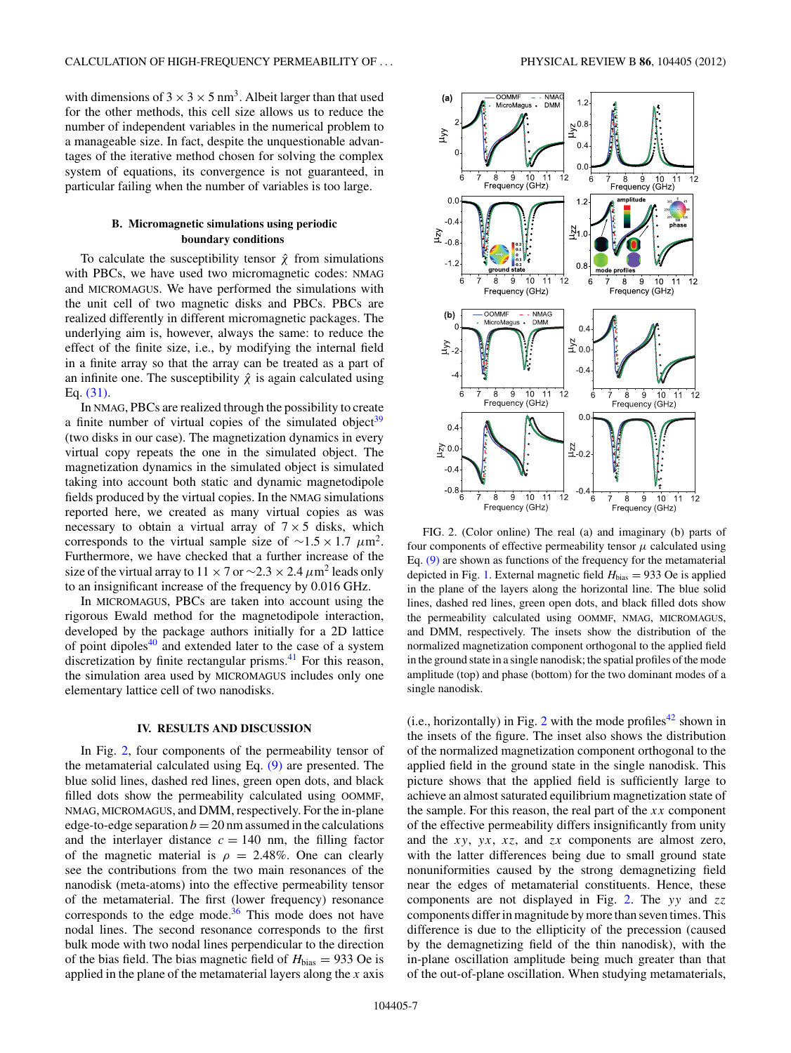<span id="page-6-0"></span>with dimensions of  $3 \times 3 \times 5$  nm<sup>3</sup>. Albeit larger than that used for the other methods, this cell size allows us to reduce the number of independent variables in the numerical problem to a manageable size. In fact, despite the unquestionable advantages of the iterative method chosen for solving the complex system of equations, its convergence is not guaranteed, in particular failing when the number of variables is too large.

# **B. Micromagnetic simulations using periodic boundary conditions**

To calculate the susceptibility tensor  $\hat{\chi}$  from simulations with PBCs, we have used two micromagnetic codes: NMAG and MICROMAGUS. We have performed the simulations with the unit cell of two magnetic disks and PBCs. PBCs are realized differently in different micromagnetic packages. The underlying aim is, however, always the same: to reduce the effect of the finite size, i.e., by modifying the internal field in a finite array so that the array can be treated as a part of an infinite one. The susceptibility  $\hat{\chi}$  is again calculated using Eq. [\(31\).](#page-4-0)

In NMAG, PBCs are realized through the possibility to create a finite number of virtual copies of the simulated object<sup>39</sup> (two disks in our case). The magnetization dynamics in every virtual copy repeats the one in the simulated object. The magnetization dynamics in the simulated object is simulated taking into account both static and dynamic magnetodipole fields produced by the virtual copies. In the NMAG simulations reported here, we created as many virtual copies as was necessary to obtain a virtual array of  $7 \times 5$  disks, which corresponds to the virtual sample size of <sup>∼</sup>1.5 <sup>×</sup> 1.7 *<sup>μ</sup>*m2. Furthermore, we have checked that a further increase of the size of the virtual array to  $11 \times 7$  or  $\sim$ 2.3  $\times$  2.4  $\mu$ m<sup>2</sup> leads only to an insignificant increase of the frequency by 0.016 GHz.

In MICROMAGUS, PBCs are taken into account using the rigorous Ewald method for the magnetodipole interaction, developed by the package authors initially for a 2D lattice of point dipoles $40$  and extended later to the case of a system discretization by finite rectangular prisms. $41$  For this reason, the simulation area used by MICROMAGUS includes only one elementary lattice cell of two nanodisks.

### **IV. RESULTS AND DISCUSSION**

In Fig. 2, four components of the permeability tensor of the metamaterial calculated using Eq. [\(9\)](#page-2-0) are presented. The blue solid lines, dashed red lines, green open dots, and black filled dots show the permeability calculated using OOMMF, NMAG, MICROMAGUS, and DMM, respectively. For the in-plane edge-to-edge separation  $b = 20$  nm assumed in the calculations and the interlayer distance  $c = 140$  nm, the filling factor of the magnetic material is  $\rho = 2.48\%$ . One can clearly see the contributions from the two main resonances of the nanodisk (meta-atoms) into the effective permeability tensor of the metamaterial. The first (lower frequency) resonance corresponds to the edge mode. $36$  This mode does not have nodal lines. The second resonance corresponds to the first bulk mode with two nodal lines perpendicular to the direction of the bias field. The bias magnetic field of  $H_{bias} = 933$  Oe is applied in the plane of the metamaterial layers along the *x* axis



FIG. 2. (Color online) The real (a) and imaginary (b) parts of four components of effective permeability tensor  $\mu$  calculated using Eq. [\(9\)](#page-2-0) are shown as functions of the frequency for the metamaterial depicted in Fig. [1.](#page-2-0) External magnetic field  $H_{bias} = 933$  Oe is applied in the plane of the layers along the horizontal line. The blue solid lines, dashed red lines, green open dots, and black filled dots show the permeability calculated using OOMMF, NMAG, MICROMAGUS, and DMM, respectively. The insets show the distribution of the normalized magnetization component orthogonal to the applied field in the ground state in a single nanodisk; the spatial profiles of the mode amplitude (top) and phase (bottom) for the two dominant modes of a single nanodisk.

(i.e., horizontally) in Fig. 2 with the mode profiles<sup>[42](#page-10-0)</sup> shown in the insets of the figure. The inset also shows the distribution of the normalized magnetization component orthogonal to the applied field in the ground state in the single nanodisk. This picture shows that the applied field is sufficiently large to achieve an almost saturated equilibrium magnetization state of the sample. For this reason, the real part of the *xx* component of the effective permeability differs insignificantly from unity and the *xy*, *yx*, *xz*, and *zx* components are almost zero, with the latter differences being due to small ground state nonuniformities caused by the strong demagnetizing field near the edges of metamaterial constituents. Hence, these components are not displayed in Fig. 2. The *yy* and *zz* components differ in magnitude by more than seven times. This difference is due to the ellipticity of the precession (caused by the demagnetizing field of the thin nanodisk), with the in-plane oscillation amplitude being much greater than that of the out-of-plane oscillation. When studying metamaterials,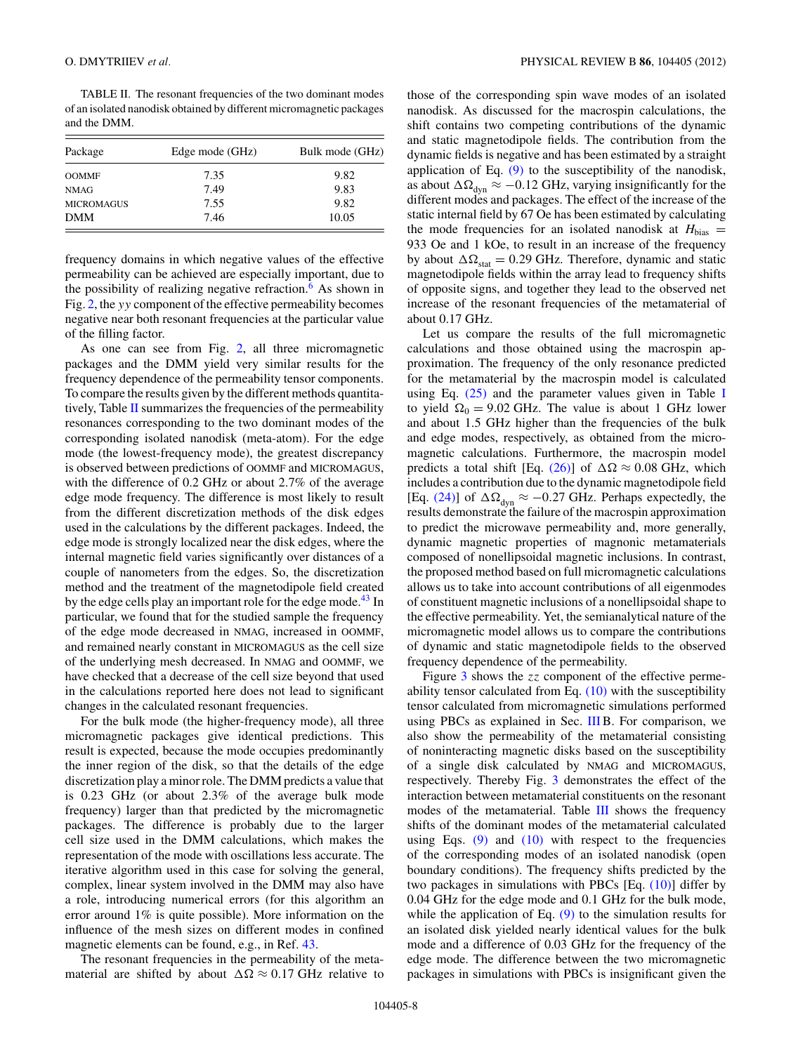TABLE II. The resonant frequencies of the two dominant modes of an isolated nanodisk obtained by different micromagnetic packages and the DMM.

| Package           | Edge mode (GHz) | Bulk mode (GHz) |  |
|-------------------|-----------------|-----------------|--|
| <b>OOMMF</b>      | 7.35            | 9.82            |  |
| <b>NMAG</b>       | 7.49            | 9.83            |  |
| <b>MICROMAGUS</b> | 7.55            | 9.82            |  |
| <b>DMM</b>        | 7.46            | 10.05           |  |

frequency domains in which negative values of the effective permeability can be achieved are especially important, due to the possibility of realizing negative refraction.<sup>[6](#page-9-0)</sup> As shown in Fig. [2,](#page-6-0) the *yy* component of the effective permeability becomes negative near both resonant frequencies at the particular value of the filling factor.

As one can see from Fig. [2,](#page-6-0) all three micromagnetic packages and the DMM yield very similar results for the frequency dependence of the permeability tensor components. To compare the results given by the different methods quantitatively, Table II summarizes the frequencies of the permeability resonances corresponding to the two dominant modes of the corresponding isolated nanodisk (meta-atom). For the edge mode (the lowest-frequency mode), the greatest discrepancy is observed between predictions of OOMMF and MICROMAGUS, with the difference of 0.2 GHz or about 2.7% of the average edge mode frequency. The difference is most likely to result from the different discretization methods of the disk edges used in the calculations by the different packages. Indeed, the edge mode is strongly localized near the disk edges, where the internal magnetic field varies significantly over distances of a couple of nanometers from the edges. So, the discretization method and the treatment of the magnetodipole field created by the edge cells play an important role for the edge mode.<sup>43</sup> In particular, we found that for the studied sample the frequency of the edge mode decreased in NMAG, increased in OOMMF, and remained nearly constant in MICROMAGUS as the cell size of the underlying mesh decreased. In NMAG and OOMMF, we have checked that a decrease of the cell size beyond that used in the calculations reported here does not lead to significant changes in the calculated resonant frequencies.

For the bulk mode (the higher-frequency mode), all three micromagnetic packages give identical predictions. This result is expected, because the mode occupies predominantly the inner region of the disk, so that the details of the edge discretization play a minor role. The DMM predicts a value that is 0.23 GHz (or about 2.3% of the average bulk mode frequency) larger than that predicted by the micromagnetic packages. The difference is probably due to the larger cell size used in the DMM calculations, which makes the representation of the mode with oscillations less accurate. The iterative algorithm used in this case for solving the general, complex, linear system involved in the DMM may also have a role, introducing numerical errors (for this algorithm an error around 1% is quite possible). More information on the influence of the mesh sizes on different modes in confined magnetic elements can be found, e.g., in Ref. [43.](#page-10-0)

The resonant frequencies in the permeability of the metamaterial are shifted by about  $\Delta\Omega \approx 0.17$  GHz relative to those of the corresponding spin wave modes of an isolated nanodisk. As discussed for the macrospin calculations, the shift contains two competing contributions of the dynamic and static magnetodipole fields. The contribution from the dynamic fields is negative and has been estimated by a straight application of Eq.  $(9)$  to the susceptibility of the nanodisk, as about  $\Delta\Omega_{\text{dyn}} \approx -0.12$  GHz, varying insignificantly for the different modes and packages. The effect of the increase of the static internal field by 67 Oe has been estimated by calculating the mode frequencies for an isolated nanodisk at  $H_{bias}$  = 933 Oe and 1 kOe, to result in an increase of the frequency by about  $\Delta\Omega_{\text{stat}} = 0.29$  GHz. Therefore, dynamic and static magnetodipole fields within the array lead to frequency shifts of opposite signs, and together they lead to the observed net increase of the resonant frequencies of the metamaterial of about 0.17 GHz.

Let us compare the results of the full micromagnetic calculations and those obtained using the macrospin approximation. The frequency of the only resonance predicted for the metamaterial by the macrospin model is calculated using Eq.  $(25)$  and the parameter values given in Table [I](#page-4-0) to yield  $\Omega_0 = 9.02$  GHz. The value is about 1 GHz lower and about 1.5 GHz higher than the frequencies of the bulk and edge modes, respectively, as obtained from the micromagnetic calculations. Furthermore, the macrospin model predicts a total shift [Eq. [\(26\)\]](#page-3-0) of  $\Delta\Omega \approx 0.08$  GHz, which includes a contribution due to the dynamic magnetodipole field [Eq. [\(24\)\]](#page-3-0) of  $\Delta\Omega_{\text{dyn}} \approx -0.27$  GHz. Perhaps expectedly, the results demonstrate the failure of the macrospin approximation to predict the microwave permeability and, more generally, dynamic magnetic properties of magnonic metamaterials composed of nonellipsoidal magnetic inclusions. In contrast, the proposed method based on full micromagnetic calculations allows us to take into account contributions of all eigenmodes of constituent magnetic inclusions of a nonellipsoidal shape to the effective permeability. Yet, the semianalytical nature of the micromagnetic model allows us to compare the contributions of dynamic and static magnetodipole fields to the observed frequency dependence of the permeability.

Figure [3](#page-8-0) shows the *zz* component of the effective permeability tensor calculated from Eq.  $(10)$  with the susceptibility tensor calculated from micromagnetic simulations performed using PBCs as explained in Sec. [III](#page-4-0) B. For comparison, we also show the permeability of the metamaterial consisting of noninteracting magnetic disks based on the susceptibility of a single disk calculated by NMAG and MICROMAGUS, respectively. Thereby Fig. [3](#page-8-0) demonstrates the effect of the interaction between metamaterial constituents on the resonant modes of the metamaterial. Table [III](#page-8-0) shows the frequency shifts of the dominant modes of the metamaterial calculated using Eqs.  $(9)$  and  $(10)$  with respect to the frequencies of the corresponding modes of an isolated nanodisk (open boundary conditions). The frequency shifts predicted by the two packages in simulations with PBCs [Eq. [\(10\)\]](#page-2-0) differ by 0.04 GHz for the edge mode and 0.1 GHz for the bulk mode, while the application of Eq.  $(9)$  to the simulation results for an isolated disk yielded nearly identical values for the bulk mode and a difference of 0.03 GHz for the frequency of the edge mode. The difference between the two micromagnetic packages in simulations with PBCs is insignificant given the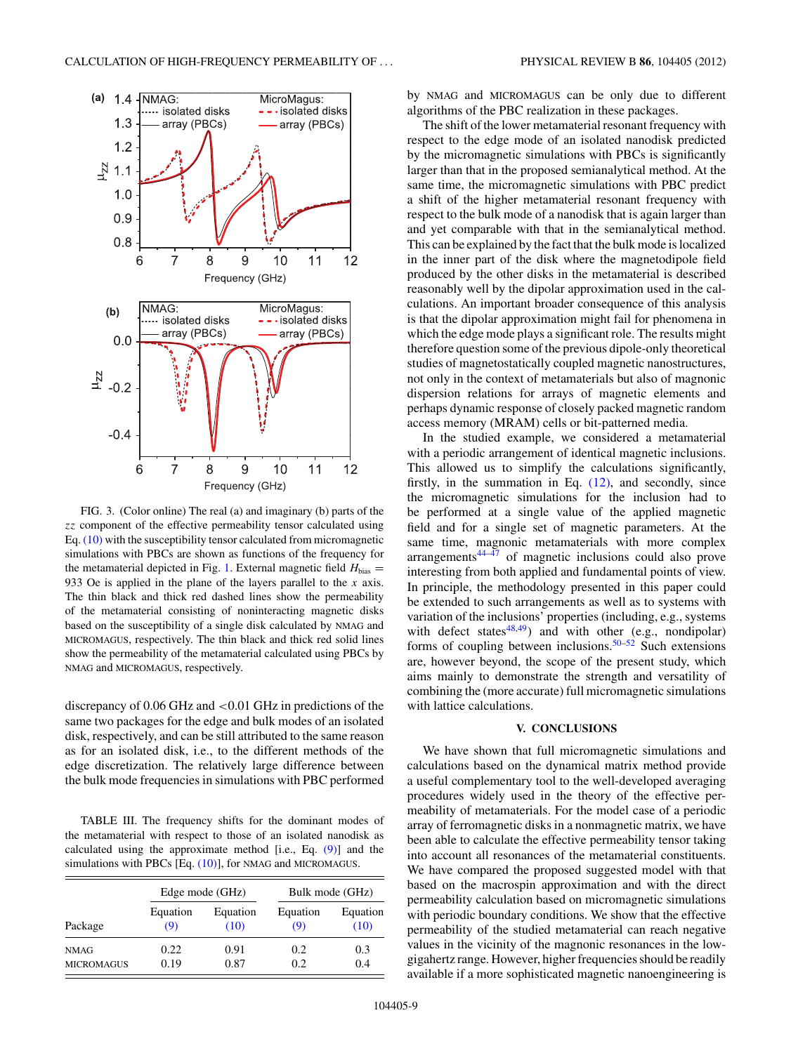<span id="page-8-0"></span>

FIG. 3. (Color online) The real (a) and imaginary (b) parts of the *zz* component of the effective permeability tensor calculated using Eq. [\(10\)](#page-2-0) with the susceptibility tensor calculated from micromagnetic simulations with PBCs are shown as functions of the frequency for the metamaterial depicted in Fig. [1.](#page-2-0) External magnetic field  $H_{bias}$  = 933 Oe is applied in the plane of the layers parallel to the *x* axis. The thin black and thick red dashed lines show the permeability of the metamaterial consisting of noninteracting magnetic disks based on the susceptibility of a single disk calculated by NMAG and MICROMAGUS, respectively. The thin black and thick red solid lines show the permeability of the metamaterial calculated using PBCs by NMAG and MICROMAGUS, respectively.

discrepancy of 0.06 GHz and *<*0.01 GHz in predictions of the same two packages for the edge and bulk modes of an isolated disk, respectively, and can be still attributed to the same reason as for an isolated disk, i.e., to the different methods of the edge discretization. The relatively large difference between the bulk mode frequencies in simulations with PBC performed

TABLE III. The frequency shifts for the dominant modes of the metamaterial with respect to those of an isolated nanodisk as calculated using the approximate method [i.e., Eq. [\(9\)\]](#page-2-0) and the simulations with PBCs [Eq.  $(10)$ ], for NMAG and MICROMAGUS.

|                   | Edge mode (GHz) |          | Bulk mode (GHz) |          |
|-------------------|-----------------|----------|-----------------|----------|
| Package           | Equation        | Equation | Equation        | Equation |
|                   | (9)             | (10)     | (9)             | (10)     |
| <b>NMAG</b>       | 0.22            | 0.91     | 0.2             | 0.3      |
| <b>MICROMAGUS</b> | 0.19            | 0.87     | 0.2             | 0.4      |

by NMAG and MICROMAGUS can be only due to different algorithms of the PBC realization in these packages.

The shift of the lower metamaterial resonant frequency with respect to the edge mode of an isolated nanodisk predicted by the micromagnetic simulations with PBCs is significantly larger than that in the proposed semianalytical method. At the same time, the micromagnetic simulations with PBC predict a shift of the higher metamaterial resonant frequency with respect to the bulk mode of a nanodisk that is again larger than and yet comparable with that in the semianalytical method. This can be explained by the fact that the bulk mode is localized in the inner part of the disk where the magnetodipole field produced by the other disks in the metamaterial is described reasonably well by the dipolar approximation used in the calculations. An important broader consequence of this analysis is that the dipolar approximation might fail for phenomena in which the edge mode plays a significant role. The results might therefore question some of the previous dipole-only theoretical studies of magnetostatically coupled magnetic nanostructures, not only in the context of metamaterials but also of magnonic dispersion relations for arrays of magnetic elements and perhaps dynamic response of closely packed magnetic random access memory (MRAM) cells or bit-patterned media.

In the studied example, we considered a metamaterial with a periodic arrangement of identical magnetic inclusions. This allowed us to simplify the calculations significantly, firstly, in the summation in Eq.  $(12)$ , and secondly, since the micromagnetic simulations for the inclusion had to be performed at a single value of the applied magnetic field and for a single set of magnetic parameters. At the same time, magnonic metamaterials with more complex  $arrangements^{44-\bar{47}}$  of magnetic inclusions could also prove interesting from both applied and fundamental points of view. In principle, the methodology presented in this paper could be extended to such arrangements as well as to systems with variation of the inclusions' properties (including, e.g., systems with defect states<sup>48,49</sup>) and with other (e.g., nondipolar) forms of coupling between inclusions.<sup>50–52</sup> Such extensions are, however beyond, the scope of the present study, which aims mainly to demonstrate the strength and versatility of combining the (more accurate) full micromagnetic simulations with lattice calculations.

## **V. CONCLUSIONS**

We have shown that full micromagnetic simulations and calculations based on the dynamical matrix method provide a useful complementary tool to the well-developed averaging procedures widely used in the theory of the effective permeability of metamaterials. For the model case of a periodic array of ferromagnetic disks in a nonmagnetic matrix, we have been able to calculate the effective permeability tensor taking into account all resonances of the metamaterial constituents. We have compared the proposed suggested model with that based on the macrospin approximation and with the direct permeability calculation based on micromagnetic simulations with periodic boundary conditions. We show that the effective permeability of the studied metamaterial can reach negative values in the vicinity of the magnonic resonances in the lowgigahertz range. However, higher frequencies should be readily available if a more sophisticated magnetic nanoengineering is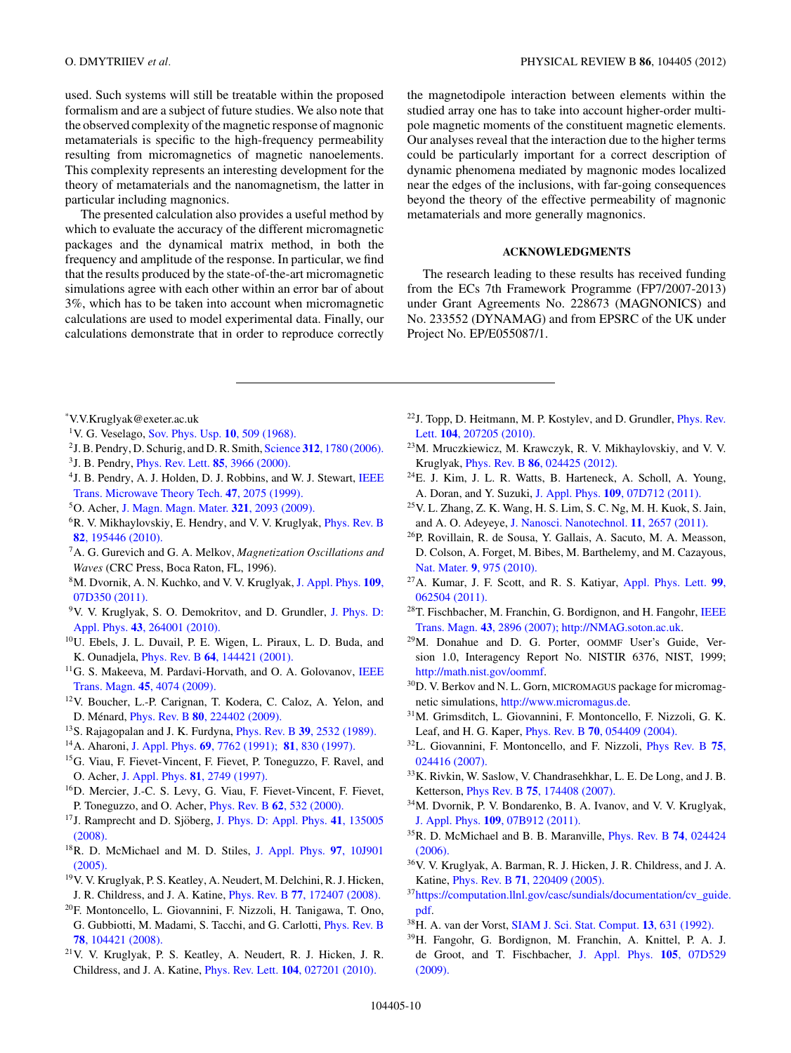<span id="page-9-0"></span>used. Such systems will still be treatable within the proposed formalism and are a subject of future studies. We also note that the observed complexity of the magnetic response of magnonic metamaterials is specific to the high-frequency permeability resulting from micromagnetics of magnetic nanoelements. This complexity represents an interesting development for the theory of metamaterials and the nanomagnetism, the latter in particular including magnonics.

The presented calculation also provides a useful method by which to evaluate the accuracy of the different micromagnetic packages and the dynamical matrix method, in both the frequency and amplitude of the response. In particular, we find that the results produced by the state-of-the-art micromagnetic simulations agree with each other within an error bar of about 3%, which has to be taken into account when micromagnetic calculations are used to model experimental data. Finally, our calculations demonstrate that in order to reproduce correctly

the magnetodipole interaction between elements within the studied array one has to take into account higher-order multipole magnetic moments of the constituent magnetic elements. Our analyses reveal that the interaction due to the higher terms could be particularly important for a correct description of dynamic phenomena mediated by magnonic modes localized near the edges of the inclusions, with far-going consequences beyond the theory of the effective permeability of magnonic metamaterials and more generally magnonics.

## **ACKNOWLEDGMENTS**

The research leading to these results has received funding from the ECs 7th Framework Programme (FP7/2007-2013) under Grant Agreements No. 228673 (MAGNONICS) and No. 233552 (DYNAMAG) and from EPSRC of the UK under Project No. EP/E055087/1.

- \* V.V.Kruglyak@exeter.ac.uk
- 1V. G. Veselago, [Sov. Phys. Usp.](http://dx.doi.org/10.1070/PU1968v010n04ABEH003699) **10**, 509 (1968).
- 2J. B. Pendry, D. Schurig, and D. R. Smith, Science **312**[, 1780 \(2006\).](http://dx.doi.org/10.1126/science.1125907)
- 3J. B. Pendry, [Phys. Rev. Lett.](http://dx.doi.org/10.1103/PhysRevLett.85.3966) **85**, 3966 (2000).
- <sup>4</sup> J. B. Pendry, A. J. Holden, D. J. Robbins, and W. J. Stewart, [IEEE](http://dx.doi.org/10.1109/22.798002) [Trans. Microwave Theory Tech.](http://dx.doi.org/10.1109/22.798002) **47**, 2075 (1999).
- 5O. Acher, [J. Magn. Magn. Mater.](http://dx.doi.org/10.1016/j.jmmm.2008.10.035) **321**, 2093 (2009).
- <sup>6</sup>R. V. Mikhaylovskiy, E. Hendry, and V. V. Kruglyak, *[Phys. Rev. B](http://dx.doi.org/10.1103/PhysRevB.82.195446)* **82**[, 195446 \(2010\).](http://dx.doi.org/10.1103/PhysRevB.82.195446)
- 7A. G. Gurevich and G. A. Melkov, *Magnetization Oscillations and Waves* (CRC Press, Boca Raton, FL, 1996).
- 8M. Dvornik, A. N. Kuchko, and V. V. Kruglyak, [J. Appl. Phys.](http://dx.doi.org/10.1063/1.3562519) **109**, [07D350 \(2011\).](http://dx.doi.org/10.1063/1.3562519)
- 9V. V. Kruglyak, S. O. Demokritov, and D. Grundler, [J. Phys. D:](http://dx.doi.org/10.1088/0022-3727/43/26/264001) Appl. Phys. **43**[, 264001 \(2010\).](http://dx.doi.org/10.1088/0022-3727/43/26/264001)
- 10U. Ebels, J. L. Duvail, P. E. Wigen, L. Piraux, L. D. Buda, and K. Ounadjela, Phys. Rev. B **64**[, 144421 \(2001\).](http://dx.doi.org/10.1103/PhysRevB.64.144421)
- <sup>11</sup>G. S. Makeeva, M. Pardavi-Horvath, and O. A. Golovanov, [IEEE](http://dx.doi.org/10.1109/TMAG.2009.2023612) Trans. Magn. **45**[, 4074 \(2009\).](http://dx.doi.org/10.1109/TMAG.2009.2023612)
- 12V. Boucher, L.-P. Carignan, T. Kodera, C. Caloz, A. Yelon, and D. Ménard, *Phys. Rev. B* 80[, 224402 \(2009\).](http://dx.doi.org/10.1103/PhysRevB.80.224402)
- 13S. Rajagopalan and J. K. Furdyna, Phys. Rev. B **39**[, 2532 \(1989\).](http://dx.doi.org/10.1103/PhysRevB.39.2532)
- 14A. Aharoni, J. Appl. Phys. **69**[, 7762 \(1991\);](http://dx.doi.org/10.1063/1.347502) **81**[, 830 \(1997\).](http://dx.doi.org/10.1063/1.364167)
- 15G. Viau, F. Fievet-Vincent, F. Fievet, P. Toneguzzo, F. Ravel, and O. Acher, J. Appl. Phys. **81**[, 2749 \(1997\).](http://dx.doi.org/10.1063/1.363979)
- 16D. Mercier, J.-C. S. Levy, G. Viau, F. Fievet-Vincent, F. Fievet, P. Toneguzzo, and O. Acher, Phys. Rev. B **62**[, 532 \(2000\).](http://dx.doi.org/10.1103/PhysRevB.62.532)
- <sup>17</sup>J. Ramprecht and D. Sjöberg, [J. Phys. D: Appl. Phys.](http://dx.doi.org/10.1088/0022-3727/41/13/135005) 41, 135005 [\(2008\).](http://dx.doi.org/10.1088/0022-3727/41/13/135005)
- 18R. D. McMichael and M. D. Stiles, [J. Appl. Phys.](http://dx.doi.org/10.1063/1.1852191) **97**, 10J901 [\(2005\).](http://dx.doi.org/10.1063/1.1852191)
- 19V. V. Kruglyak, P. S. Keatley, A. Neudert, M. Delchini, R. J. Hicken, J. R. Childress, and J. A. Katine, Phys. Rev. B **77**[, 172407 \(2008\).](http://dx.doi.org/10.1103/PhysRevB.77.172407)
- 20F. Montoncello, L. Giovannini, F. Nizzoli, H. Tanigawa, T. Ono, G. Gubbiotti, M. Madami, S. Tacchi, and G. Carlotti, [Phys. Rev. B](http://dx.doi.org/10.1103/PhysRevB.78.104421) **78**[, 104421 \(2008\).](http://dx.doi.org/10.1103/PhysRevB.78.104421)
- 21V. V. Kruglyak, P. S. Keatley, A. Neudert, R. J. Hicken, J. R. Childress, and J. A. Katine, Phys. Rev. Lett. **104**[, 027201 \(2010\).](http://dx.doi.org/10.1103/PhysRevLett.104.027201)
- 22J. Topp, D. Heitmann, M. P. Kostylev, and D. Grundler, [Phys. Rev.](http://dx.doi.org/10.1103/PhysRevLett.104.207205) Lett. **104**[, 207205 \(2010\).](http://dx.doi.org/10.1103/PhysRevLett.104.207205)
- 23M. Mruczkiewicz, M. Krawczyk, R. V. Mikhaylovskiy, and V. V. Kruglyak, Phys. Rev. B **86**[, 024425 \(2012\).](http://dx.doi.org/10.1103/PhysRevB.86.024425)
- $24E$ . J. Kim, J. L. R. Watts, B. Harteneck, A. Scholl, A. Young, A. Doran, and Y. Suzuki, J. Appl. Phys. **109**[, 07D712 \(2011\).](http://dx.doi.org/10.1063/1.3544510)
- 25V. L. Zhang, Z. K. Wang, H. S. Lim, S. C. Ng, M. H. Kuok, S. Jain, and A. O. Adeyeye, [J. Nanosci. Nanotechnol.](http://dx.doi.org/10.1166/jnn.2011.2730) **11**, 2657 (2011).
- 26P. Rovillain, R. de Sousa, Y. Gallais, A. Sacuto, M. A. Measson, D. Colson, A. Forget, M. Bibes, M. Barthelemy, and M. Cazayous, Nat. Mater. **9**[, 975 \(2010\).](http://dx.doi.org/10.1038/nmat2899)
- 27A. Kumar, J. F. Scott, and R. S. Katiyar, [Appl. Phys. Lett.](http://dx.doi.org/10.1063/1.3624845) **99**, [062504 \(2011\).](http://dx.doi.org/10.1063/1.3624845)
- <sup>28</sup>T. Fischbacher, M. Franchin, G. Bordignon, and H. Fangohr, [IEEE](http://dx.doi.org/10.1109/TMAG.2007.893843) Trans. Magn. **43**[, 2896 \(2007\);](http://dx.doi.org/10.1109/TMAG.2007.893843) [http://NMAG.soton.ac.uk.](http://NMAG.soton.ac.uk)
- 29M. Donahue and D. G. Porter, OOMMF User's Guide, Version 1.0, Interagency Report No. NISTIR 6376, NIST, 1999; [http://math.nist.gov/oommf.](http://math.nist.gov/oommf)
- <sup>30</sup>D. V. Berkov and N. L. Gorn, MICROMAGUS package for micromagnetic simulations, [http://www.micromagus.de.](http://www.micromagus.de)
- 31M. Grimsditch, L. Giovannini, F. Montoncello, F. Nizzoli, G. K. Leaf, and H. G. Kaper, Phys. Rev. B **70**[, 054409 \(2004\).](http://dx.doi.org/10.1103/PhysRevB.70.054409)
- 32L. Giovannini, F. Montoncello, and F. Nizzoli, [Phys Rev. B](http://dx.doi.org/10.1103/PhysRevB.75.024416) **75**, [024416 \(2007\).](http://dx.doi.org/10.1103/PhysRevB.75.024416)
- 33K. Rivkin, W. Saslow, V. Chandrasehkhar, L. E. De Long, and J. B. Ketterson, Phys Rev. B **75**[, 174408 \(2007\).](http://dx.doi.org/10.1103/PhysRevB.75.174408)
- 34M. Dvornik, P. V. Bondarenko, B. A. Ivanov, and V. V. Kruglyak, J. Appl. Phys. **109**[, 07B912 \(2011\).](http://dx.doi.org/10.1063/1.3562509)
- 35R. D. McMichael and B. B. Maranville, [Phys. Rev. B](http://dx.doi.org/10.1103/PhysRevB.74.024424) **74**, 024424 [\(2006\).](http://dx.doi.org/10.1103/PhysRevB.74.024424)
- 36V. V. Kruglyak, A. Barman, R. J. Hicken, J. R. Childress, and J. A. Katine, Phys. Rev. B **71**[, 220409 \(2005\).](http://dx.doi.org/10.1103/PhysRevB.71.220409)
- 3[7https://computation.llnl.gov/casc/sundials/documentation/cv\\_guide.](https://computation.llnl.gov/casc/sundials/documentation/cv_guide.pdf) [pdf.](https://computation.llnl.gov/casc/sundials/documentation/cv_guide.pdf)
- 38H. A. van der Vorst, [SIAM J. Sci. Stat. Comput.](http://dx.doi.org/10.1137/0913035) **13**, 631 (1992).
- 39H. Fangohr, G. Bordignon, M. Franchin, A. Knittel, P. A. J. de Groot, and T. Fischbacher, [J. Appl. Phys.](http://dx.doi.org/10.1063/1.3068637) **105**, 07D529 [\(2009\).](http://dx.doi.org/10.1063/1.3068637)